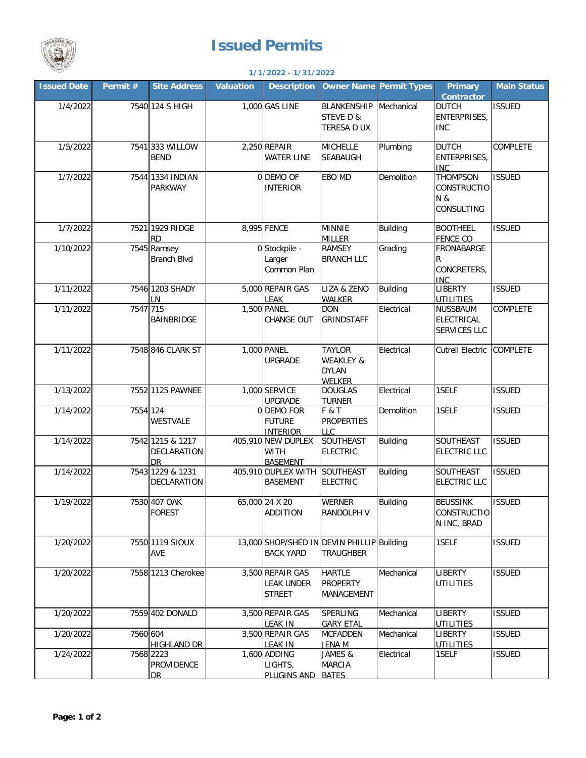

## **Issued Permits**

## **1/1/2022 - 1/31/2022**

| <b>Issued Date</b> | Permit # | <b>Site Address</b>                          | <b>Valuation</b> | <b>Description</b>                                     |                                                                        | <b>Owner Name Permit Types</b> | <b>Primary</b><br>Contractor                               | <b>Main Status</b> |
|--------------------|----------|----------------------------------------------|------------------|--------------------------------------------------------|------------------------------------------------------------------------|--------------------------------|------------------------------------------------------------|--------------------|
| 1/4/2022           |          | 7540 124 S HIGH                              |                  | 1,000 GAS LINE                                         | <b>BLANKENSHIP</b><br>STEVE D &<br>TERESA D UX                         | Mechanical                     | <b>DUTCH</b><br>ENTERPRISES,<br><b>INC</b>                 | <b>ISSUED</b>      |
| 1/5/2022           |          | 7541 333 WILLOW<br><b>BEND</b>               |                  | 2,250 REPAIR<br><b>WATER LINE</b>                      | <b>MICHELLE</b><br>SEABAUGH                                            | Plumbing                       | <b>DUTCH</b><br>ENTERPRISES,<br><b>INC</b>                 | COMPLETE           |
| 1/7/2022           |          | 7544 1334 INDIAN<br><b>PARKWAY</b>           |                  | 0 DEMO OF<br><b>INTERIOR</b>                           | EBO MD                                                                 | Demolition                     | <b>THOMPSON</b><br><b>CONSTRUCTIO</b><br>N &<br>CONSULTING | <b>ISSUED</b>      |
| 1/7/2022           |          | 7521 1929 RIDGE<br><b>RD</b>                 |                  | 8,995 FENCE                                            | <b>MINNIE</b><br><b>MILLER</b>                                         | <b>Building</b>                | <b>BOOTHEEL</b><br><b>FENCE CO</b>                         | <b>ISSUED</b>      |
| 1/10/2022          |          | 7545 Ramsey<br><b>Branch Blvd</b>            |                  | 0 Stockpile -<br>Larger<br>Common Plan                 | <b>RAMSEY</b><br><b>BRANCH LLC</b>                                     | Grading                        | FRONABARGE<br>R<br>CONCRETERS,<br>INC                      |                    |
| 1/11/2022          |          | 7546 1203 SHADY<br>LN                        |                  | 5,000 REPAIR GAS<br>LEAK                               | LIZA & ZENO<br>WALKER                                                  | <b>Building</b>                | <b>LIBERTY</b><br><b>UTILITIES</b>                         | <b>ISSUED</b>      |
| 1/11/2022          | 7547 715 | <b>BAINBRIDGE</b>                            |                  | 1,500 PANEL<br>CHANGE OUT                              | <b>DON</b><br>GRINDSTAFF                                               | Electrical                     | NUSSBAUM<br><b>ELECTRICAL</b><br>SERVICES LLC              | COMPLETE           |
| 1/11/2022          |          | 7548 846 CLARK ST                            |                  | 1,000 PANEL<br><b>UPGRADE</b>                          | <b>TAYLOR</b><br><b>WEAKLEY &amp;</b><br><b>DYLAN</b><br><b>WELKER</b> | Electrical                     | <b>Cutrell Electric</b>                                    | <b>COMPLETE</b>    |
| 1/13/2022          |          | 7552 1125 PAWNEE                             |                  | 1,000 SERVICE<br><b>UPGRADE</b>                        | <b>DOUGLAS</b><br><b>TURNER</b>                                        | Electrical                     | 1SELF                                                      | <b>ISSUED</b>      |
| 1/14/2022          | 7554 124 | WESTVALE                                     |                  | 0 DEMO FOR<br><b>FUTURE</b><br><b>INTERIOR</b>         | F & T<br><b>PROPERTIES</b><br><b>LLC</b>                               | Demolition                     | 1SELF                                                      | <b>ISSUED</b>      |
| 1/14/2022          |          | 7542 1215 & 1217<br>DECLARATION<br><b>DR</b> |                  | 405,910 NEW DUPLEX<br><b>WITH</b><br><b>BASEMENT</b>   | SOUTHEAST<br><b>ELECTRIC</b>                                           | <b>Building</b>                | SOUTHEAST<br><b>ELECTRIC LLC</b>                           | <b>ISSUED</b>      |
| 1/14/2022          |          | 7543 1229 & 1231<br>DECLARATION              |                  | 405,910 DUPLEX WITH<br><b>BASEMENT</b>                 | SOUTHEAST<br><b>ELECTRIC</b>                                           | <b>Building</b>                | SOUTHEAST<br><b>ELECTRIC LLC</b>                           | <b>ISSUED</b>      |
| 1/19/2022          |          | 7530 407 OAK<br><b>FOREST</b>                |                  | 65,000 24 X 20<br><b>ADDITION</b>                      | <b>WERNER</b><br>RANDOLPH V                                            | <b>Building</b>                | <b>BEUSSINK</b><br>CONSTRUCTIO<br>N INC, BRAD              | <b>ISSUED</b>      |
| 1/20/2022          |          | 7550 1119 SIOUX<br><b>AVE</b>                |                  | <b>BACK YARD</b>                                       | 13,000 SHOP/SHED IN DEVIN PHILLIP Building<br><b>TRAUGHBER</b>         |                                | 1SELF                                                      | <b>ISSUED</b>      |
| 1/20/2022          |          | 7558 1213 Cherokee                           |                  | 3,500 REPAIR GAS<br><b>LEAK UNDER</b><br><b>STREET</b> | <b>HARTLE</b><br><b>PROPERTY</b><br>MANAGEMENT                         | Mechanical                     | LIBERTY<br><b>UTILITIES</b>                                | <b>ISSUED</b>      |
| 1/20/2022          |          | 7559 402 DONALD                              |                  | 3,500 REPAIR GAS<br><b>LEAK IN</b>                     | SPERLING<br><b>GARY ETAL</b>                                           | Mechanical                     | LIBERTY<br><b>UTILITIES</b>                                | <b>ISSUED</b>      |
| 1/20/2022          | 7560 604 | <b>HIGHLAND DR</b>                           |                  | 3,500 REPAIR GAS<br><b>LEAK IN</b>                     | <b>MCFADDEN</b><br><b>JENA M</b>                                       | Mechanical                     | <b>LIBERTY</b><br><b>UTILITIES</b>                         | <b>ISSUED</b>      |
| 1/24/2022          |          | 7568 2223<br>PROVIDENCE<br>DR                |                  | 1,600 ADDING<br>LIGHTS,<br>PLUGINS AND                 | JAMES &<br>MARCIA<br><b>BATES</b>                                      | Electrical                     | 1SELF                                                      | <b>ISSUED</b>      |